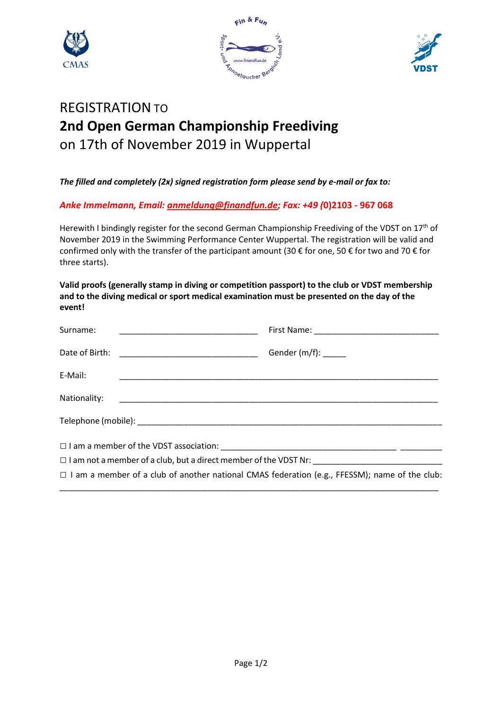





# REGISTRATION TO **2nd Open German Championship Freediving** on 17th of November 2019 in Wuppertal

*The filled and completely (2x) signed registration form please send by e-mail or fax to:*

*Anke Immelmann, Email: anmeldung@finandfun.de; Fax: +49 (***0)2103 - 967 068**

Herewith I bindingly register for the second German Championship Freediving of the VDST on 17<sup>th</sup> of November 2019 in the Swimming Performance Center Wuppertal. The registration will be valid and confirmed only with the transfer of the participant amount (30 € for one, 50 € for two and 70 € for three starts).

**Valid proofs (generally stamp in diving or competition passport) to the club or VDST membership and to the diving medical or sport medical examination must be presented on the day of the event!**

| Surname:     | <u> 1989 - Johann Harry Harry Harry Harry Harry Harry Harry Harry Harry Harry Harry Harry Harry Harry Harry Harry</u> |  |
|--------------|-----------------------------------------------------------------------------------------------------------------------|--|
|              |                                                                                                                       |  |
| E-Mail:      |                                                                                                                       |  |
| Nationality: |                                                                                                                       |  |
|              |                                                                                                                       |  |
|              |                                                                                                                       |  |
|              |                                                                                                                       |  |
|              | $\Box$ I am a member of a club of another national CMAS federation (e.g., FFESSM); name of the club:                  |  |